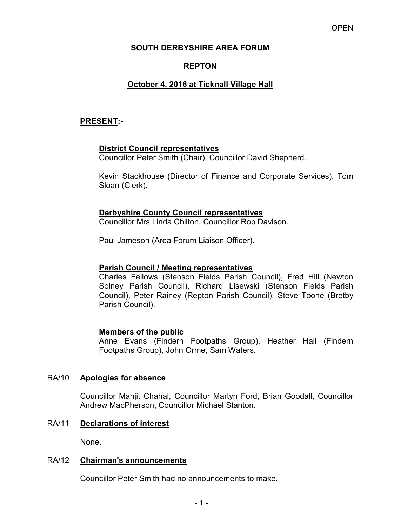### OPEN

# **SOUTH DERBYSHIRE AREA FORUM**

# **REPTON**

# **October 4, 2016 at Ticknall Village Hall**

### **PRESENT:-**

# **District Council representatives**

Councillor Peter Smith (Chair), Councillor David Shepherd.

Kevin Stackhouse (Director of Finance and Corporate Services), Tom Sloan (Clerk).

### **Derbyshire County Council representatives**

Councillor Mrs Linda Chilton, Councillor Rob Davison.

Paul Jameson (Area Forum Liaison Officer).

#### **Parish Council / Meeting representatives**

 Charles Fellows (Stenson Fields Parish Council), Fred Hill (Newton Solney Parish Council), Richard Lisewski (Stenson Fields Parish Council), Peter Rainey (Repton Parish Council), Steve Toone (Bretby Parish Council).

#### **Members of the public**

 Anne Evans (Findern Footpaths Group), Heather Hall (Findern Footpaths Group), John Orme, Sam Waters.

# RA/10 **Apologies for absence**

 Councillor Manjit Chahal, Councillor Martyn Ford, Brian Goodall, Councillor Andrew MacPherson, Councillor Michael Stanton.

# RA/11 **Declarations of interest**

None.

#### RA/12 **Chairman's announcements**

Councillor Peter Smith had no announcements to make.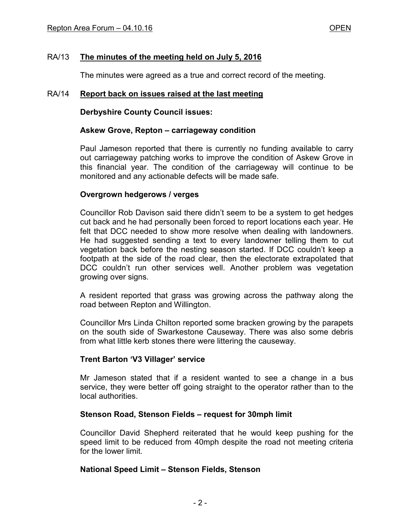# RA/13 **The minutes of the meeting held on July 5, 2016**

The minutes were agreed as a true and correct record of the meeting.

### RA/14 **Report back on issues raised at the last meeting**

**Derbyshire County Council issues:** 

#### **Askew Grove, Repton – carriageway condition**

Paul Jameson reported that there is currently no funding available to carry out carriageway patching works to improve the condition of Askew Grove in this financial year. The condition of the carriageway will continue to be monitored and any actionable defects will be made safe.

### **Overgrown hedgerows / verges**

Councillor Rob Davison said there didn't seem to be a system to get hedges cut back and he had personally been forced to report locations each year. He felt that DCC needed to show more resolve when dealing with landowners. He had suggested sending a text to every landowner telling them to cut vegetation back before the nesting season started. If DCC couldn't keep a footpath at the side of the road clear, then the electorate extrapolated that DCC couldn't run other services well. Another problem was vegetation growing over signs.

A resident reported that grass was growing across the pathway along the road between Repton and Willington.

Councillor Mrs Linda Chilton reported some bracken growing by the parapets on the south side of Swarkestone Causeway. There was also some debris from what little kerb stones there were littering the causeway.

# **Trent Barton 'V3 Villager' service**

Mr Jameson stated that if a resident wanted to see a change in a bus service, they were better off going straight to the operator rather than to the local authorities.

# **Stenson Road, Stenson Fields – request for 30mph limit**

Councillor David Shepherd reiterated that he would keep pushing for the speed limit to be reduced from 40mph despite the road not meeting criteria for the lower limit.

#### **National Speed Limit – Stenson Fields, Stenson**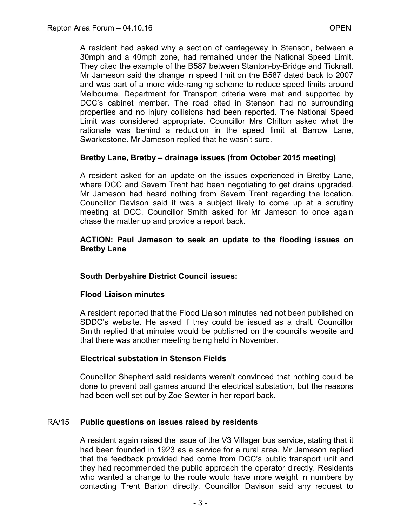A resident had asked why a section of carriageway in Stenson, between a 30mph and a 40mph zone, had remained under the National Speed Limit. They cited the example of the B587 between Stanton-by-Bridge and Ticknall. Mr Jameson said the change in speed limit on the B587 dated back to 2007 and was part of a more wide-ranging scheme to reduce speed limits around Melbourne. Department for Transport criteria were met and supported by DCC's cabinet member. The road cited in Stenson had no surrounding properties and no injury collisions had been reported. The National Speed Limit was considered appropriate. Councillor Mrs Chilton asked what the rationale was behind a reduction in the speed limit at Barrow Lane, Swarkestone. Mr Jameson replied that he wasn't sure.

### **Bretby Lane, Bretby – drainage issues (from October 2015 meeting)**

A resident asked for an update on the issues experienced in Bretby Lane, where DCC and Severn Trent had been negotiating to get drains upgraded. Mr Jameson had heard nothing from Severn Trent regarding the location. Councillor Davison said it was a subject likely to come up at a scrutiny meeting at DCC. Councillor Smith asked for Mr Jameson to once again chase the matter up and provide a report back.

#### **ACTION: Paul Jameson to seek an update to the flooding issues on Bretby Lane**

#### **South Derbyshire District Council issues:**

#### **Flood Liaison minutes**

A resident reported that the Flood Liaison minutes had not been published on SDDC's website. He asked if they could be issued as a draft. Councillor Smith replied that minutes would be published on the council's website and that there was another meeting being held in November.

#### **Electrical substation in Stenson Fields**

Councillor Shepherd said residents weren't convinced that nothing could be done to prevent ball games around the electrical substation, but the reasons had been well set out by Zoe Sewter in her report back.

#### RA/15 **Public questions on issues raised by residents**

A resident again raised the issue of the V3 Villager bus service, stating that it had been founded in 1923 as a service for a rural area. Mr Jameson replied that the feedback provided had come from DCC's public transport unit and they had recommended the public approach the operator directly. Residents who wanted a change to the route would have more weight in numbers by contacting Trent Barton directly. Councillor Davison said any request to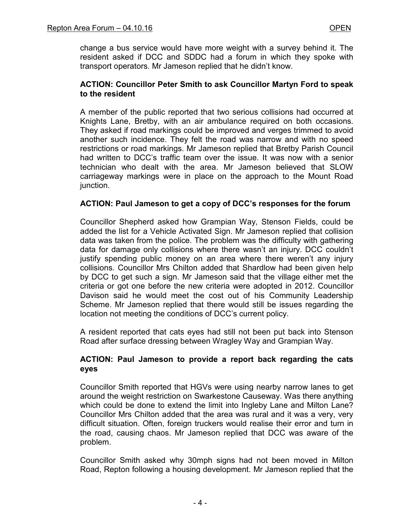change a bus service would have more weight with a survey behind it. The resident asked if DCC and SDDC had a forum in which they spoke with transport operators. Mr Jameson replied that he didn't know.

# **ACTION: Councillor Peter Smith to ask Councillor Martyn Ford to speak to the resident**

A member of the public reported that two serious collisions had occurred at Knights Lane, Bretby, with an air ambulance required on both occasions. They asked if road markings could be improved and verges trimmed to avoid another such incidence. They felt the road was narrow and with no speed restrictions or road markings. Mr Jameson replied that Bretby Parish Council had written to DCC's traffic team over the issue. It was now with a senior technician who dealt with the area. Mr Jameson believed that SLOW carriageway markings were in place on the approach to the Mount Road junction.

# **ACTION: Paul Jameson to get a copy of DCC's responses for the forum**

Councillor Shepherd asked how Grampian Way, Stenson Fields, could be added the list for a Vehicle Activated Sign. Mr Jameson replied that collision data was taken from the police. The problem was the difficulty with gathering data for damage only collisions where there wasn't an injury. DCC couldn't justify spending public money on an area where there weren't any injury collisions. Councillor Mrs Chilton added that Shardlow had been given help by DCC to get such a sign. Mr Jameson said that the village either met the criteria or got one before the new criteria were adopted in 2012. Councillor Davison said he would meet the cost out of his Community Leadership Scheme. Mr Jameson replied that there would still be issues regarding the location not meeting the conditions of DCC's current policy.

A resident reported that cats eyes had still not been put back into Stenson Road after surface dressing between Wragley Way and Grampian Way.

# **ACTION: Paul Jameson to provide a report back regarding the cats eyes**

Councillor Smith reported that HGVs were using nearby narrow lanes to get around the weight restriction on Swarkestone Causeway. Was there anything which could be done to extend the limit into Ingleby Lane and Milton Lane? Councillor Mrs Chilton added that the area was rural and it was a very, very difficult situation. Often, foreign truckers would realise their error and turn in the road, causing chaos. Mr Jameson replied that DCC was aware of the problem.

Councillor Smith asked why 30mph signs had not been moved in Milton Road, Repton following a housing development. Mr Jameson replied that the